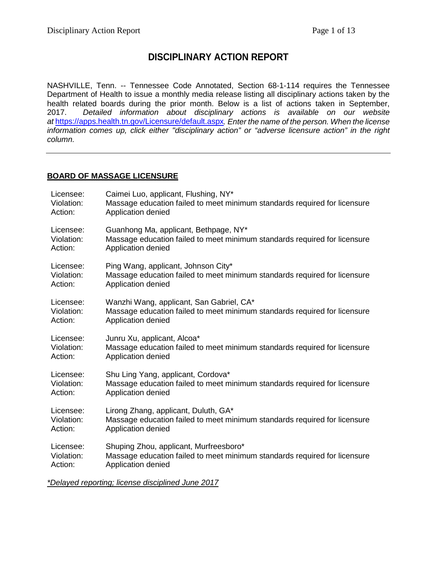# **DISCIPLINARY ACTION REPORT**

NASHVILLE, Tenn. -- Tennessee Code Annotated, Section 68-1-114 requires the Tennessee Department of Health to issue a monthly media release listing all disciplinary actions taken by the health related boards during the prior month. Below is a list of actions taken in September,<br>2017. Detailed information about disciplinary actions is available on our website 2017. *Detailed information about disciplinary actions is available on our website at* <https://apps.health.tn.gov/Licensure/default.aspx>*. Enter the name of the person. When the license information comes up, click either "disciplinary action" or "adverse licensure action" in the right column.*

### **BOARD OF MASSAGE LICENSURE**

| Licensee:  | Caimei Luo, applicant, Flushing, NY*                                      |
|------------|---------------------------------------------------------------------------|
| Violation: | Massage education failed to meet minimum standards required for licensure |
| Action:    | Application denied                                                        |
| Licensee:  | Guanhong Ma, applicant, Bethpage, NY*                                     |
| Violation: | Massage education failed to meet minimum standards required for licensure |
| Action:    | Application denied                                                        |
| Licensee:  | Ping Wang, applicant, Johnson City*                                       |
| Violation: | Massage education failed to meet minimum standards required for licensure |
| Action:    | Application denied                                                        |
| Licensee:  | Wanzhi Wang, applicant, San Gabriel, CA*                                  |
| Violation: | Massage education failed to meet minimum standards required for licensure |
| Action:    | Application denied                                                        |
| Licensee:  | Junru Xu, applicant, Alcoa*                                               |
| Violation: | Massage education failed to meet minimum standards required for licensure |
| Action:    | Application denied                                                        |
| Licensee:  | Shu Ling Yang, applicant, Cordova*                                        |
| Violation: | Massage education failed to meet minimum standards required for licensure |
| Action:    | Application denied                                                        |
| Licensee:  | Lirong Zhang, applicant, Duluth, GA*                                      |
| Violation: | Massage education failed to meet minimum standards required for licensure |
| Action:    | Application denied                                                        |
| Licensee:  | Shuping Zhou, applicant, Murfreesboro*                                    |
| Violation: | Massage education failed to meet minimum standards required for licensure |
| Action:    | Application denied                                                        |
|            |                                                                           |

*\*Delayed reporting; license disciplined June 2017*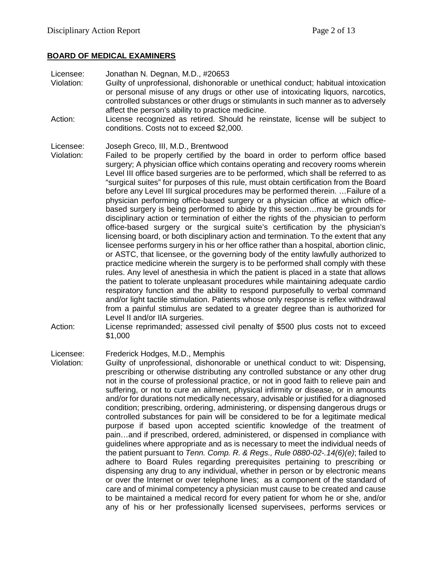### **BOARD OF MEDICAL EXAMINERS**

Licensee: Jonathan N. Degnan, M.D., #20653

- Violation: Guilty of unprofessional, dishonorable or unethical conduct; habitual intoxication or personal misuse of any drugs or other use of intoxicating liquors, narcotics, controlled substances or other drugs or stimulants in such manner as to adversely affect the person's ability to practice medicine.
- Action: License recognized as retired. Should he reinstate, license will be subject to conditions. Costs not to exceed \$2,000.

### Licensee: Joseph Greco, III, M.D., Brentwood

- Violation: Failed to be properly certified by the board in order to perform office based surgery; A physician office which contains operating and recovery rooms wherein Level III office based surgeries are to be performed, which shall be referred to as "surgical suites" for purposes of this rule, must obtain certification from the Board before any Level III surgical procedures may be performed therein. …Failure of a physician performing office-based surgery or a physician office at which officebased surgery is being performed to abide by this section…may be grounds for disciplinary action or termination of either the rights of the physician to perform office-based surgery or the surgical suite's certification by the physician's licensing board, or both disciplinary action and termination. To the extent that any licensee performs surgery in his or her office rather than a hospital, abortion clinic, or ASTC, that licensee, or the governing body of the entity lawfully authorized to practice medicine wherein the surgery is to be performed shall comply with these rules. Any level of anesthesia in which the patient is placed in a state that allows the patient to tolerate unpleasant procedures while maintaining adequate cardio respiratory function and the ability to respond purposefully to verbal command and/or light tactile stimulation. Patients whose only response is reflex withdrawal from a painful stimulus are sedated to a greater degree than is authorized for Level II and/or IIA surgeries.
- Action: License reprimanded; assessed civil penalty of \$500 plus costs not to exceed \$1,000

### Licensee: Frederick Hodges, M.D., Memphis

Violation: Guilty of unprofessional, dishonorable or unethical conduct to wit: Dispensing, prescribing or otherwise distributing any controlled substance or any other drug not in the course of professional practice, or not in good faith to relieve pain and suffering, or not to cure an ailment, physical infirmity or disease, or in amounts and/or for durations not medically necessary, advisable or justified for a diagnosed condition; prescribing, ordering, administering, or dispensing dangerous drugs or controlled substances for pain will be considered to be for a legitimate medical purpose if based upon accepted scientific knowledge of the treatment of pain…and if prescribed, ordered, administered, or dispensed in compliance with guidelines where appropriate and as is necessary to meet the individual needs of the patient pursuant to *Tenn. Comp. R. & Regs., Rule 0880-02-.14(6)(e)*; failed to adhere to Board Rules regarding prerequisites pertaining to prescribing or dispensing any drug to any individual, whether in person or by electronic means or over the Internet or over telephone lines; as a component of the standard of care and of minimal competency a physician must cause to be created and cause to be maintained a medical record for every patient for whom he or she, and/or any of his or her professionally licensed supervisees, performs services or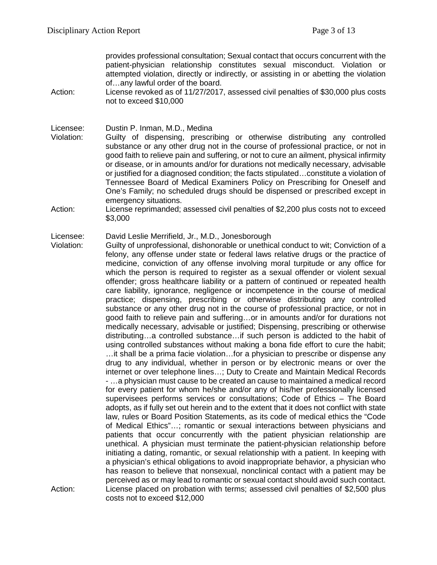provides professional consultation; Sexual contact that occurs concurrent with the patient-physician relationship constitutes sexual misconduct. Violation or attempted violation, directly or indirectly, or assisting in or abetting the violation of…any lawful order of the board.

Action: License revoked as of 11/27/2017, assessed civil penalties of \$30,000 plus costs not to exceed \$10,000

Licensee: Dustin P. Inman, M.D., Medina

- Violation: Guilty of dispensing, prescribing or otherwise distributing any controlled substance or any other drug not in the course of professional practice, or not in good faith to relieve pain and suffering, or not to cure an ailment, physical infirmity or disease, or in amounts and/or for durations not medically necessary, advisable or justified for a diagnosed condition; the facts stipulated…constitute a violation of Tennessee Board of Medical Examiners Policy on Prescribing for Oneself and One's Family; no scheduled drugs should be dispensed or prescribed except in emergency situations.
- Action: License reprimanded; assessed civil penalties of \$2,200 plus costs not to exceed \$3,000

Licensee: David Leslie Merrifield, Jr., M.D., Jonesborough

Violation: Guilty of unprofessional, dishonorable or unethical conduct to wit; Conviction of a felony, any offense under state or federal laws relative drugs or the practice of medicine, conviction of any offense involving moral turpitude or any office for which the person is required to register as a sexual offender or violent sexual offender; gross healthcare liability or a pattern of continued or repeated health care liability, ignorance, negligence or incompetence in the course of medical practice; dispensing, prescribing or otherwise distributing any controlled substance or any other drug not in the course of professional practice, or not in good faith to relieve pain and suffering…or in amounts and/or for durations not medically necessary, advisable or justified; Dispensing, prescribing or otherwise distributing…a controlled substance…if such person is addicted to the habit of using controlled substances without making a bona fide effort to cure the habit; …it shall be a prima facie violation…for a physician to prescribe or dispense any drug to any individual, whether in person or by electronic means or over the internet or over telephone lines…; Duty to Create and Maintain Medical Records - …a physician must cause to be created an cause to maintained a medical record for every patient for whom he/she and/or any of his/her professionally licensed supervisees performs services or consultations; Code of Ethics – The Board adopts, as if fully set out herein and to the extent that it does not conflict with state law, rules or Board Position Statements, as its code of medical ethics the "Code of Medical Ethics"…; romantic or sexual interactions between physicians and patients that occur concurrently with the patient physician relationship are unethical. A physician must terminate the patient-physician relationship before initiating a dating, romantic, or sexual relationship with a patient. In keeping with a physician's ethical obligations to avoid inappropriate behavior, a physician who has reason to believe that nonsexual, nonclinical contact with a patient may be perceived as or may lead to romantic or sexual contact should avoid such contact. Action: License placed on probation with terms; assessed civil penalties of \$2,500 plus costs not to exceed \$12,000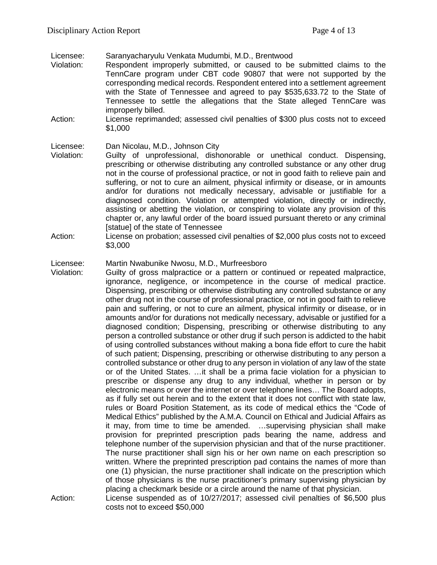Licensee: Saranyacharyulu Venkata Mudumbi, M.D., Brentwood

- Violation: Respondent improperly submitted, or caused to be submitted claims to the TennCare program under CBT code 90807 that were not supported by the corresponding medical records. Respondent entered into a settlement agreement with the State of Tennessee and agreed to pay \$535,633.72 to the State of Tennessee to settle the allegations that the State alleged TennCare was improperly billed.
- Action: License reprimanded; assessed civil penalties of \$300 plus costs not to exceed \$1,000

Licensee: Dan Nicolau, M.D., Johnson City

- Violation: Guilty of unprofessional, dishonorable or unethical conduct. Dispensing, prescribing or otherwise distributing any controlled substance or any other drug not in the course of professional practice, or not in good faith to relieve pain and suffering, or not to cure an ailment, physical infirmity or disease, or in amounts and/or for durations not medically necessary, advisable or justifiable for a diagnosed condition. Violation or attempted violation, directly or indirectly, assisting or abetting the violation, or conspiring to violate any provision of this chapter or, any lawful order of the board issued pursuant thereto or any criminal [statue] of the state of Tennessee
- Action: License on probation; assessed civil penalties of \$2,000 plus costs not to exceed \$3,000

### Licensee: Martin Nwabunike Nwosu, M.D., Murfreesboro

- Violation: Guilty of gross malpractice or a pattern or continued or repeated malpractice, ignorance, negligence, or incompetence in the course of medical practice. Dispensing, prescribing or otherwise distributing any controlled substance or any other drug not in the course of professional practice, or not in good faith to relieve pain and suffering, or not to cure an ailment, physical infirmity or disease, or in amounts and/or for durations not medically necessary, advisable or justified for a diagnosed condition; Dispensing, prescribing or otherwise distributing to any person a controlled substance or other drug if such person is addicted to the habit of using controlled substances without making a bona fide effort to cure the habit of such patient; Dispensing, prescribing or otherwise distributing to any person a controlled substance or other drug to any person in violation of any law of the state or of the United States. …it shall be a prima facie violation for a physician to prescribe or dispense any drug to any individual, whether in person or by electronic means or over the internet or over telephone lines… The Board adopts, as if fully set out herein and to the extent that it does not conflict with state law, rules or Board Position Statement, as its code of medical ethics the "Code of Medical Ethics" published by the A.M.A. Council on Ethical and Judicial Affairs as it may, from time to time be amended. …supervising physician shall make provision for preprinted prescription pads bearing the name, address and telephone number of the supervision physician and that of the nurse practitioner. The nurse practitioner shall sign his or her own name on each prescription so written. Where the preprinted prescription pad contains the names of more than one (1) physician, the nurse practitioner shall indicate on the prescription which of those physicians is the nurse practitioner's primary supervising physician by placing a checkmark beside or a circle around the name of that physician. Action: License suspended as of 10/27/2017; assessed civil penalties of \$6,500 plus
	- costs not to exceed \$50,000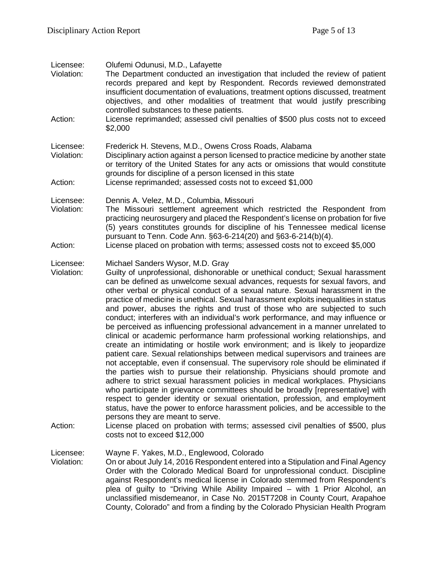| Licensee:<br>Violation:<br>Action: | Olufemi Odunusi, M.D., Lafayette<br>The Department conducted an investigation that included the review of patient<br>records prepared and kept by Respondent. Records reviewed demonstrated<br>insufficient documentation of evaluations, treatment options discussed, treatment<br>objectives, and other modalities of treatment that would justify prescribing<br>controlled substances to these patients.<br>License reprimanded; assessed civil penalties of \$500 plus costs not to exceed<br>\$2,000                                                                                                                                                                                                                                                                                                                                                                                                                                                                                                                                                                                                                                                                                                                                                                                                                                                                                                                                                                                                                                            |
|------------------------------------|-------------------------------------------------------------------------------------------------------------------------------------------------------------------------------------------------------------------------------------------------------------------------------------------------------------------------------------------------------------------------------------------------------------------------------------------------------------------------------------------------------------------------------------------------------------------------------------------------------------------------------------------------------------------------------------------------------------------------------------------------------------------------------------------------------------------------------------------------------------------------------------------------------------------------------------------------------------------------------------------------------------------------------------------------------------------------------------------------------------------------------------------------------------------------------------------------------------------------------------------------------------------------------------------------------------------------------------------------------------------------------------------------------------------------------------------------------------------------------------------------------------------------------------------------------|
| Licensee:<br>Violation:            | Frederick H. Stevens, M.D., Owens Cross Roads, Alabama<br>Disciplinary action against a person licensed to practice medicine by another state<br>or territory of the United States for any acts or omissions that would constitute<br>grounds for discipline of a person licensed in this state                                                                                                                                                                                                                                                                                                                                                                                                                                                                                                                                                                                                                                                                                                                                                                                                                                                                                                                                                                                                                                                                                                                                                                                                                                                       |
| Action:                            | License reprimanded; assessed costs not to exceed \$1,000                                                                                                                                                                                                                                                                                                                                                                                                                                                                                                                                                                                                                                                                                                                                                                                                                                                                                                                                                                                                                                                                                                                                                                                                                                                                                                                                                                                                                                                                                             |
| Licensee:<br>Violation:<br>Action: | Dennis A. Velez, M.D., Columbia, Missouri<br>The Missouri settlement agreement which restricted the Respondent from<br>practicing neurosurgery and placed the Respondent's license on probation for five<br>(5) years constitutes grounds for discipline of his Tennessee medical license<br>pursuant to Tenn. Code Ann. §63-6-214(20) and §63-6-214(b)(4).<br>License placed on probation with terms; assessed costs not to exceed \$5,000                                                                                                                                                                                                                                                                                                                                                                                                                                                                                                                                                                                                                                                                                                                                                                                                                                                                                                                                                                                                                                                                                                           |
|                                    |                                                                                                                                                                                                                                                                                                                                                                                                                                                                                                                                                                                                                                                                                                                                                                                                                                                                                                                                                                                                                                                                                                                                                                                                                                                                                                                                                                                                                                                                                                                                                       |
| Licensee:<br>Violation:<br>Action: | Michael Sanders Wysor, M.D. Gray<br>Guilty of unprofessional, dishonorable or unethical conduct; Sexual harassment<br>can be defined as unwelcome sexual advances, requests for sexual favors, and<br>other verbal or physical conduct of a sexual nature. Sexual harassment in the<br>practice of medicine is unethical. Sexual harassment exploits inequalities in status<br>and power, abuses the rights and trust of those who are subjected to such<br>conduct; interferes with an individual's work performance, and may influence or<br>be perceived as influencing professional advancement in a manner unrelated to<br>clinical or academic performance harm professional working relationships, and<br>create an intimidating or hostile work environment; and is likely to jeopardize<br>patient care. Sexual relationships between medical supervisors and trainees are<br>not acceptable, even if consensual. The supervisory role should be eliminated if<br>the parties wish to pursue their relationship. Physicians should promote and<br>adhere to strict sexual harassment policies in medical workplaces. Physicians<br>who participate in grievance committees should be broadly [representative] with<br>respect to gender identity or sexual orientation, profession, and employment<br>status, have the power to enforce harassment policies, and be accessible to the<br>persons they are meant to serve.<br>License placed on probation with terms; assessed civil penalties of \$500, plus<br>costs not to exceed \$12,000 |
|                                    |                                                                                                                                                                                                                                                                                                                                                                                                                                                                                                                                                                                                                                                                                                                                                                                                                                                                                                                                                                                                                                                                                                                                                                                                                                                                                                                                                                                                                                                                                                                                                       |
| Licensee:<br>Violation:            | Wayne F. Yakes, M.D., Englewood, Colorado<br>On or about July 14, 2016 Respondent entered into a Stipulation and Final Agency<br>Order with the Colorado Medical Board for unprofessional conduct. Discipline<br>against Respondent's medical license in Colorado stemmed from Respondent's<br>plea of guilty to "Driving While Ability Impaired – with 1 Prior Alcohol, an<br>unclassified misdemeanor, in Case No. 2015T7208 in County Court, Arapahoe                                                                                                                                                                                                                                                                                                                                                                                                                                                                                                                                                                                                                                                                                                                                                                                                                                                                                                                                                                                                                                                                                              |

County, Colorado" and from a finding by the Colorado Physician Health Program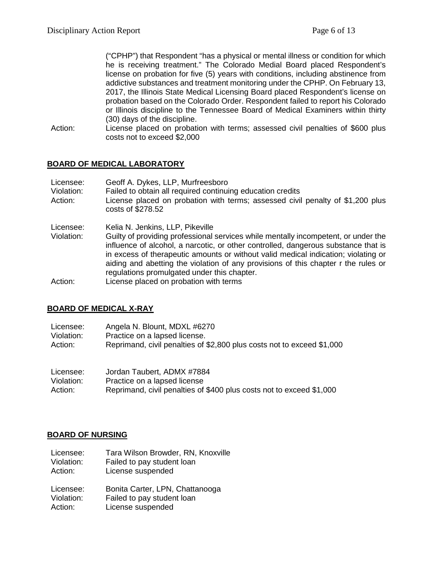("CPHP") that Respondent "has a physical or mental illness or condition for which he is receiving treatment." The Colorado Medial Board placed Respondent's license on probation for five (5) years with conditions, including abstinence from addictive substances and treatment monitoring under the CPHP. On February 13, 2017, the Illinois State Medical Licensing Board placed Respondent's license on probation based on the Colorado Order. Respondent failed to report his Colorado or Illinois discipline to the Tennessee Board of Medical Examiners within thirty (30) days of the discipline.

Action: License placed on probation with terms; assessed civil penalties of \$600 plus costs not to exceed \$2,000

### **BOARD OF MEDICAL LABORATORY**

| Licensee:<br>Violation:<br>Action: | Geoff A. Dykes, LLP, Murfreesboro<br>Failed to obtain all required continuing education credits<br>License placed on probation with terms; assessed civil penalty of \$1,200 plus<br>costs of \$278.52                                                                                                                                                                                              |
|------------------------------------|-----------------------------------------------------------------------------------------------------------------------------------------------------------------------------------------------------------------------------------------------------------------------------------------------------------------------------------------------------------------------------------------------------|
| Licensee:                          | Kelia N. Jenkins, LLP, Pikeville                                                                                                                                                                                                                                                                                                                                                                    |
| Violation:                         | Guilty of providing professional services while mentally incompetent, or under the<br>influence of alcohol, a narcotic, or other controlled, dangerous substance that is<br>in excess of therapeutic amounts or without valid medical indication; violating or<br>aiding and abetting the violation of any provisions of this chapter r the rules or<br>regulations promulgated under this chapter. |
| Action:                            | License placed on probation with terms                                                                                                                                                                                                                                                                                                                                                              |

### **BOARD OF MEDICAL X-RAY**

| Licensee:  | Angela N. Blount, MDXL #6270                                           |
|------------|------------------------------------------------------------------------|
| Violation: | Practice on a lapsed license.                                          |
| Action:    | Reprimand, civil penalties of \$2,800 plus costs not to exceed \$1,000 |
|            |                                                                        |

| Licensee:  | Jordan Taubert, ADMX #7884                                           |
|------------|----------------------------------------------------------------------|
| Violation: | Practice on a lapsed license                                         |
| Action:    | Reprimand, civil penalties of \$400 plus costs not to exceed \$1,000 |

### **BOARD OF NURSING**

| Licensee:  | Tara Wilson Browder, RN, Knoxville |
|------------|------------------------------------|
| Violation: | Failed to pay student loan         |

Action: License suspended

| Licensee:  | Bonita Carter, LPN, Chattanooga |
|------------|---------------------------------|
| Violation: | Failed to pay student loan      |
| Action:    | License suspended               |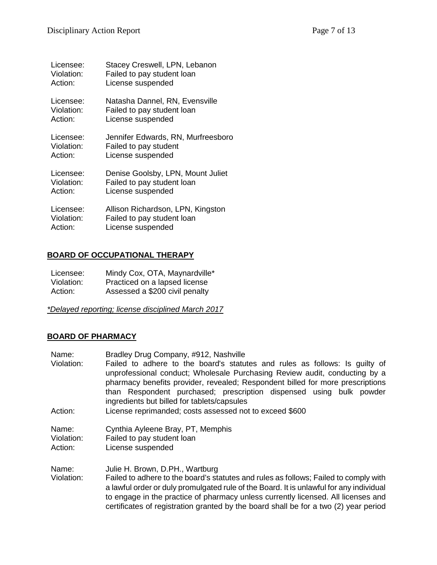| Licensee:  | Stacey Creswell, LPN, Lebanon      |
|------------|------------------------------------|
| Violation: | Failed to pay student loan         |
| Action:    | License suspended                  |
| Licensee:  | Natasha Dannel, RN, Evensville     |
| Violation: | Failed to pay student loan         |
| Action:    | License suspended                  |
| Licensee:  | Jennifer Edwards, RN, Murfreesboro |
| Violation: | Failed to pay student              |
| Action:    | License suspended                  |
| Licensee:  | Denise Goolsby, LPN, Mount Juliet  |
| Violation: | Failed to pay student loan         |
| Action:    | License suspended                  |
| Licensee:  | Allison Richardson, LPN, Kingston  |
| Violation: | Failed to pay student loan         |
| Action:    | License suspended                  |

## **BOARD OF OCCUPATIONAL THERAPY**

| Licensee:  | Mindy Cox, OTA, Maynardville*  |
|------------|--------------------------------|
| Violation: | Practiced on a lapsed license  |
| Action:    | Assessed a \$200 civil penalty |

*\*Delayed reporting; license disciplined March 2017*

## **BOARD OF PHARMACY**

| Name:                          | Bradley Drug Company, #912, Nashville                                                                                                                                                                                                                                                                                                                                                           |
|--------------------------------|-------------------------------------------------------------------------------------------------------------------------------------------------------------------------------------------------------------------------------------------------------------------------------------------------------------------------------------------------------------------------------------------------|
| Violation:                     | Failed to adhere to the board's statutes and rules as follows: Is guilty of<br>unprofessional conduct; Wholesale Purchasing Review audit, conducting by a<br>pharmacy benefits provider, revealed; Respondent billed for more prescriptions<br>than Respondent purchased; prescription dispensed using bulk powder<br>ingredients but billed for tablets/capsules                               |
| Action:                        | License reprimanded; costs assessed not to exceed \$600                                                                                                                                                                                                                                                                                                                                         |
| Name:<br>Violation:<br>Action: | Cynthia Ayleene Bray, PT, Memphis<br>Failed to pay student loan<br>License suspended                                                                                                                                                                                                                                                                                                            |
| Name:<br>Violation:            | Julie H. Brown, D.PH., Wartburg<br>Failed to adhere to the board's statutes and rules as follows; Failed to comply with<br>a lawful order or duly promulgated rule of the Board. It is unlawful for any individual<br>to engage in the practice of pharmacy unless currently licensed. All licenses and<br>certificates of registration granted by the board shall be for a two (2) year period |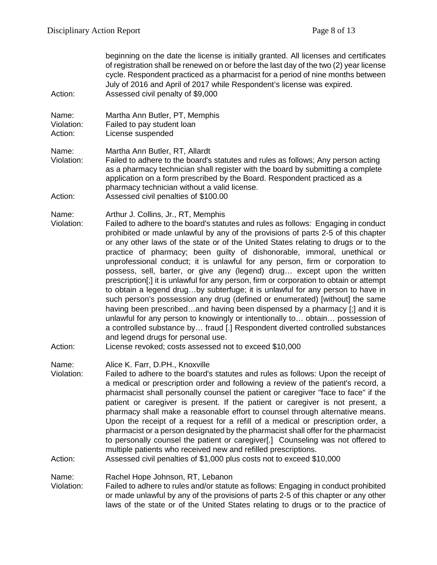| Action:                        | beginning on the date the license is initially granted. All licenses and certificates<br>of registration shall be renewed on or before the last day of the two (2) year license<br>cycle. Respondent practiced as a pharmacist for a period of nine months between<br>July of 2016 and April of 2017 while Respondent's license was expired.<br>Assessed civil penalty of \$9,000                                                                                                                                                                                                                                                                                                                                                                                                                                                                                                                                                                                                                                                                                                                                                                           |
|--------------------------------|-------------------------------------------------------------------------------------------------------------------------------------------------------------------------------------------------------------------------------------------------------------------------------------------------------------------------------------------------------------------------------------------------------------------------------------------------------------------------------------------------------------------------------------------------------------------------------------------------------------------------------------------------------------------------------------------------------------------------------------------------------------------------------------------------------------------------------------------------------------------------------------------------------------------------------------------------------------------------------------------------------------------------------------------------------------------------------------------------------------------------------------------------------------|
| Name:<br>Violation:<br>Action: | Martha Ann Butler, PT, Memphis<br>Failed to pay student loan<br>License suspended                                                                                                                                                                                                                                                                                                                                                                                                                                                                                                                                                                                                                                                                                                                                                                                                                                                                                                                                                                                                                                                                           |
| Name:<br>Violation:<br>Action: | Martha Ann Butler, RT, Allardt<br>Failed to adhere to the board's statutes and rules as follows; Any person acting<br>as a pharmacy technician shall register with the board by submitting a complete<br>application on a form prescribed by the Board. Respondent practiced as a<br>pharmacy technician without a valid license.<br>Assessed civil penalties of \$100.00                                                                                                                                                                                                                                                                                                                                                                                                                                                                                                                                                                                                                                                                                                                                                                                   |
| Name:<br>Violation:<br>Action: | Arthur J. Collins, Jr., RT, Memphis<br>Failed to adhere to the board's statutes and rules as follows: Engaging in conduct<br>prohibited or made unlawful by any of the provisions of parts 2-5 of this chapter<br>or any other laws of the state or of the United States relating to drugs or to the<br>practice of pharmacy; been guilty of dishonorable, immoral, unethical or<br>unprofessional conduct; it is unlawful for any person, firm or corporation to<br>possess, sell, barter, or give any (legend) drug except upon the written<br>prescription[;] it is unlawful for any person, firm or corporation to obtain or attempt<br>to obtain a legend drugby subterfuge; it is unlawful for any person to have in<br>such person's possession any drug (defined or enumerated) [without] the same<br>having been prescribedand having been dispensed by a pharmacy [;] and it is<br>unlawful for any person to knowingly or intentionally to obtain possession of<br>a controlled substance by fraud [.] Respondent diverted controlled substances<br>and legend drugs for personal use.<br>License revoked; costs assessed not to exceed \$10,000 |
| Name:<br>Violation:<br>Action: | Alice K. Farr, D.PH., Knoxville<br>Failed to adhere to the board's statutes and rules as follows: Upon the receipt of<br>a medical or prescription order and following a review of the patient's record, a<br>pharmacist shall personally counsel the patient or caregiver "face to face" if the<br>patient or caregiver is present. If the patient or caregiver is not present, a<br>pharmacy shall make a reasonable effort to counsel through alternative means.<br>Upon the receipt of a request for a refill of a medical or prescription order, a<br>pharmacist or a person designated by the pharmacist shall offer for the pharmacist<br>to personally counsel the patient or caregiver[.] Counseling was not offered to<br>multiple patients who received new and refilled prescriptions.<br>Assessed civil penalties of \$1,000 plus costs not to exceed \$10,000                                                                                                                                                                                                                                                                                 |
| Name:<br>Violation:            | Rachel Hope Johnson, RT, Lebanon<br>Failed to adhere to rules and/or statute as follows: Engaging in conduct prohibited                                                                                                                                                                                                                                                                                                                                                                                                                                                                                                                                                                                                                                                                                                                                                                                                                                                                                                                                                                                                                                     |

or made unlawful by any of the provisions of parts 2-5 of this chapter or any other laws of the state or of the United States relating to drugs or to the practice of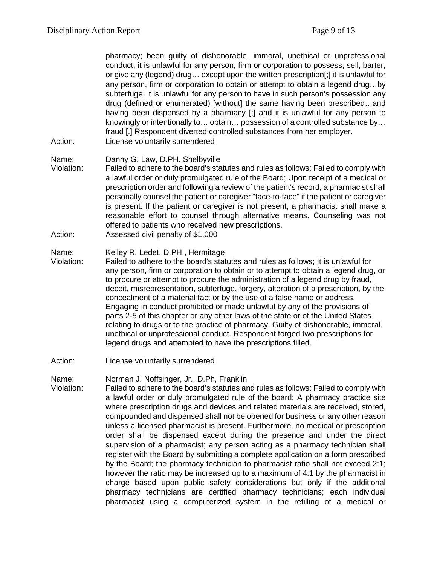pharmacy; been guilty of dishonorable, immoral, unethical or unprofessional conduct; it is unlawful for any person, firm or corporation to possess, sell, barter, or give any (legend) drug… except upon the written prescription[;] it is unlawful for any person, firm or corporation to obtain or attempt to obtain a legend drug…by subterfuge; it is unlawful for any person to have in such person's possession any drug (defined or enumerated) [without] the same having been prescribed…and having been dispensed by a pharmacy [;] and it is unlawful for any person to knowingly or intentionally to… obtain… possession of a controlled substance by… fraud [.] Respondent diverted controlled substances from her employer. Action: License voluntarily surrendered

- 
- Name: Danny G. Law, D.PH. Shelbyville
- Violation: Failed to adhere to the board's statutes and rules as follows; Failed to comply with a lawful order or duly promulgated rule of the Board; Upon receipt of a medical or prescription order and following a review of the patient's record, a pharmacist shall personally counsel the patient or caregiver "face-to-face" if the patient or caregiver is present. If the patient or caregiver is not present, a pharmacist shall make a reasonable effort to counsel through alternative means. Counseling was not offered to patients who received new prescriptions.
- Action: Assessed civil penalty of \$1,000

### Name: Kelley R. Ledet, D.PH., Hermitage

- Violation: Failed to adhere to the board's statutes and rules as follows; It is unlawful for any person, firm or corporation to obtain or to attempt to obtain a legend drug, or to procure or attempt to procure the administration of a legend drug by fraud, deceit, misrepresentation, subterfuge, forgery, alteration of a prescription, by the concealment of a material fact or by the use of a false name or address. Engaging in conduct prohibited or made unlawful by any of the provisions of parts 2-5 of this chapter or any other laws of the state or of the United States relating to drugs or to the practice of pharmacy. Guilty of dishonorable, immoral, unethical or unprofessional conduct. Respondent forged two prescriptions for legend drugs and attempted to have the prescriptions filled.
- Action: License voluntarily surrendered

Name: Norman J. Noffsinger, Jr., D.Ph, Franklin

Violation: Failed to adhere to the board's statutes and rules as follows: Failed to comply with a lawful order or duly promulgated rule of the board; A pharmacy practice site where prescription drugs and devices and related materials are received, stored, compounded and dispensed shall not be opened for business or any other reason unless a licensed pharmacist is present. Furthermore, no medical or prescription order shall be dispensed except during the presence and under the direct supervision of a pharmacist; any person acting as a pharmacy technician shall register with the Board by submitting a complete application on a form prescribed by the Board; the pharmacy technician to pharmacist ratio shall not exceed 2:1; however the ratio may be increased up to a maximum of 4:1 by the pharmacist in charge based upon public safety considerations but only if the additional pharmacy technicians are certified pharmacy technicians; each individual pharmacist using a computerized system in the refilling of a medical or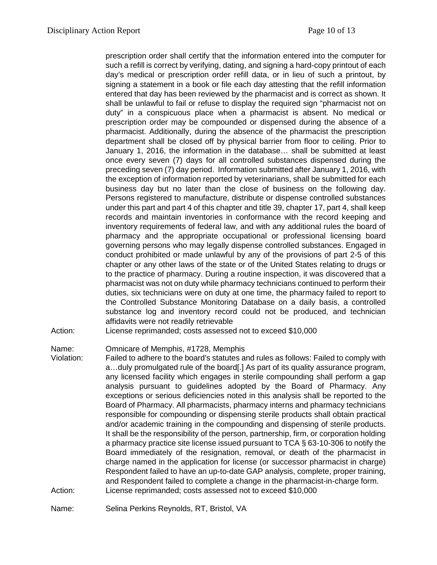prescription order shall certify that the information entered into the computer for such a refill is correct by verifying, dating, and signing a hard-copy printout of each day's medical or prescription order refill data, or in lieu of such a printout, by signing a statement in a book or file each day attesting that the refill information entered that day has been reviewed by the pharmacist and is correct as shown. It shall be unlawful to fail or refuse to display the required sign "pharmacist not on duty" in a conspicuous place when a pharmacist is absent. No medical or prescription order may be compounded or dispensed during the absence of a pharmacist. Additionally, during the absence of the pharmacist the prescription department shall be closed off by physical barrier from floor to ceiling. Prior to January 1, 2016, the information in the database… shall be submitted at least once every seven (7) days for all controlled substances dispensed during the preceding seven (7) day period. Information submitted after January 1, 2016, with the exception of information reported by veterinarians, shall be submitted for each business day but no later than the close of business on the following day. Persons registered to manufacture, distribute or dispense controlled substances under this part and part 4 of this chapter and title 39, chapter 17, part 4, shall keep records and maintain inventories in conformance with the record keeping and inventory requirements of federal law, and with any additional rules the board of pharmacy and the appropriate occupational or professional licensing board governing persons who may legally dispense controlled substances. Engaged in conduct prohibited or made unlawful by any of the provisions of part 2-5 of this chapter or any other laws of the state or of the United States relating to drugs or to the practice of pharmacy. During a routine inspection, it was discovered that a pharmacist was not on duty while pharmacy technicians continued to perform their duties, six technicians were on duty at one time, the pharmacy failed to report to the Controlled Substance Monitoring Database on a daily basis, a controlled substance log and inventory record could not be produced, and technician affidavits were not readily retrievable

Action: License reprimanded; costs assessed not to exceed \$10,000

Name: Omnicare of Memphis, #1728, Memphis

Violation: Failed to adhere to the board's statutes and rules as follows: Failed to comply with a…duly promulgated rule of the board[.] As part of its quality assurance program, any licensed facility which engages in sterile compounding shall perform a gap analysis pursuant to guidelines adopted by the Board of Pharmacy. Any exceptions or serious deficiencies noted in this analysis shall be reported to the Board of Pharmacy. All pharmacists, pharmacy interns and pharmacy technicians responsible for compounding or dispensing sterile products shall obtain practical and/or academic training in the compounding and dispensing of sterile products. It shall be the responsibility of the person, partnership, firm, or corporation holding a pharmacy practice site license issued pursuant to TCA § 63-10-306 to notify the Board immediately of the resignation, removal, or death of the pharmacist in charge named in the application for license (or successor pharmacist in charge) Respondent failed to have an up-to-date GAP analysis, complete, proper training, and Respondent failed to complete a change in the pharmacist-in-charge form. Action: License reprimanded; costs assessed not to exceed \$10,000

Name: Selina Perkins Reynolds, RT, Bristol, VA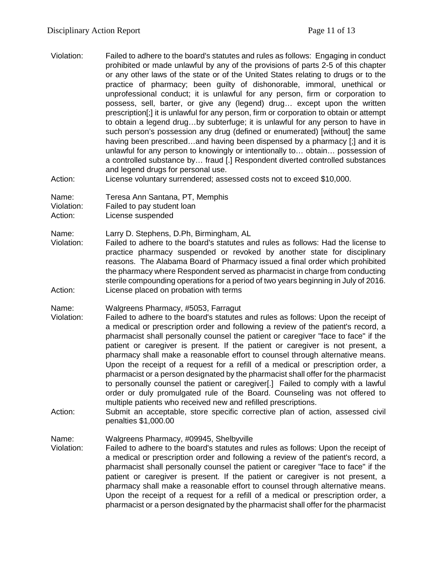Violation: Failed to adhere to the board's statutes and rules as follows: Engaging in conduct prohibited or made unlawful by any of the provisions of parts 2-5 of this chapter or any other laws of the state or of the United States relating to drugs or to the practice of pharmacy; been guilty of dishonorable, immoral, unethical or unprofessional conduct; it is unlawful for any person, firm or corporation to possess, sell, barter, or give any (legend) drug… except upon the written prescription[;] it is unlawful for any person, firm or corporation to obtain or attempt to obtain a legend drug…by subterfuge; it is unlawful for any person to have in such person's possession any drug (defined or enumerated) [without] the same having been prescribed...and having been dispensed by a pharmacy [;] and it is unlawful for any person to knowingly or intentionally to… obtain… possession of a controlled substance by… fraud [.] Respondent diverted controlled substances and legend drugs for personal use.

Action: License voluntary surrendered; assessed costs not to exceed \$10,000.

Name: Teresa Ann Santana, PT, Memphis

Violation: Failed to pay student loan

Action: License suspended

Name: Larry D. Stephens, D.Ph, Birmingham, AL

Violation: Failed to adhere to the board's statutes and rules as follows: Had the license to practice pharmacy suspended or revoked by another state for disciplinary reasons. The Alabama Board of Pharmacy issued a final order which prohibited the pharmacy where Respondent served as pharmacist in charge from conducting sterile compounding operations for a period of two years beginning in July of 2016. Action: License placed on probation with terms

Name: Walgreens Pharmacy, #5053, Farragut

- Violation: Failed to adhere to the board's statutes and rules as follows: Upon the receipt of a medical or prescription order and following a review of the patient's record, a pharmacist shall personally counsel the patient or caregiver "face to face" if the patient or caregiver is present. If the patient or caregiver is not present, a pharmacy shall make a reasonable effort to counsel through alternative means. Upon the receipt of a request for a refill of a medical or prescription order, a pharmacist or a person designated by the pharmacist shall offer for the pharmacist to personally counsel the patient or caregiver[.] Failed to comply with a lawful order or duly promulgated rule of the Board. Counseling was not offered to multiple patients who received new and refilled prescriptions.
- Action: Submit an acceptable, store specific corrective plan of action, assessed civil penalties \$1,000.00

Name: Walgreens Pharmacy, #09945, Shelbyville<br>Violation: Failed to adhere to the board's statutes and

Failed to adhere to the board's statutes and rules as follows: Upon the receipt of a medical or prescription order and following a review of the patient's record, a pharmacist shall personally counsel the patient or caregiver "face to face" if the patient or caregiver is present. If the patient or caregiver is not present, a pharmacy shall make a reasonable effort to counsel through alternative means. Upon the receipt of a request for a refill of a medical or prescription order, a pharmacist or a person designated by the pharmacist shall offer for the pharmacist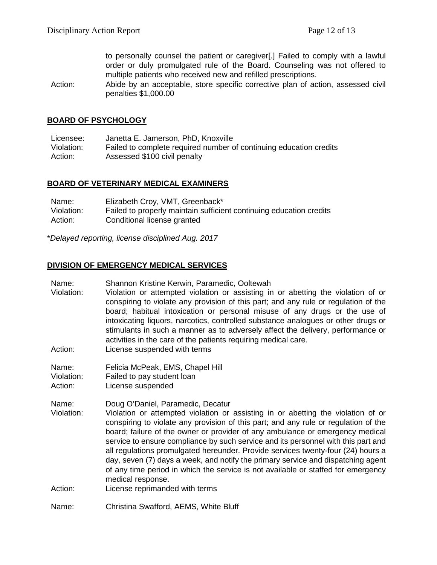to personally counsel the patient or caregiver[.] Failed to comply with a lawful order or duly promulgated rule of the Board. Counseling was not offered to multiple patients who received new and refilled prescriptions.

Action: Abide by an acceptable, store specific corrective plan of action, assessed civil penalties \$1,000.00

### **BOARD OF PSYCHOLOGY**

Licensee: Janetta E. Jamerson, PhD, Knoxville Violation: Failed to complete required number of continuing education credits Action: Assessed \$100 civil penalty

### **BOARD OF VETERINARY MEDICAL EXAMINERS**

| Name:      | Elizabeth Croy, VMT, Greenback*                                     |
|------------|---------------------------------------------------------------------|
| Violation: | Failed to properly maintain sufficient continuing education credits |
| Action:    | Conditional license granted                                         |

\**Delayed reporting, license disciplined Aug. 2017*

### **DIVISION OF EMERGENCY MEDICAL SERVICES**

Name: Shannon Kristine Kerwin, Paramedic, Ooltewah

- Violation: Violation or attempted violation or assisting in or abetting the violation of or conspiring to violate any provision of this part; and any rule or regulation of the board; habitual intoxication or personal misuse of any drugs or the use of intoxicating liquors, narcotics, controlled substance analogues or other drugs or stimulants in such a manner as to adversely affect the delivery, performance or activities in the care of the patients requiring medical care.
- Action: License suspended with terms
- Name: Felicia McPeak, EMS, Chapel Hill<br>Violation: Failed to pay student loan

Failed to pay student loan

Action: License suspended

Name: Doug O'Daniel, Paramedic, Decatur

- Violation: Violation or attempted violation or assisting in or abetting the violation of or conspiring to violate any provision of this part; and any rule or regulation of the board; failure of the owner or provider of any ambulance or emergency medical service to ensure compliance by such service and its personnel with this part and all regulations promulgated hereunder. Provide services twenty-four (24) hours a day, seven (7) days a week, and notify the primary service and dispatching agent of any time period in which the service is not available or staffed for emergency medical response.
- Action: License reprimanded with terms

Name: Christina Swafford, AEMS, White Bluff